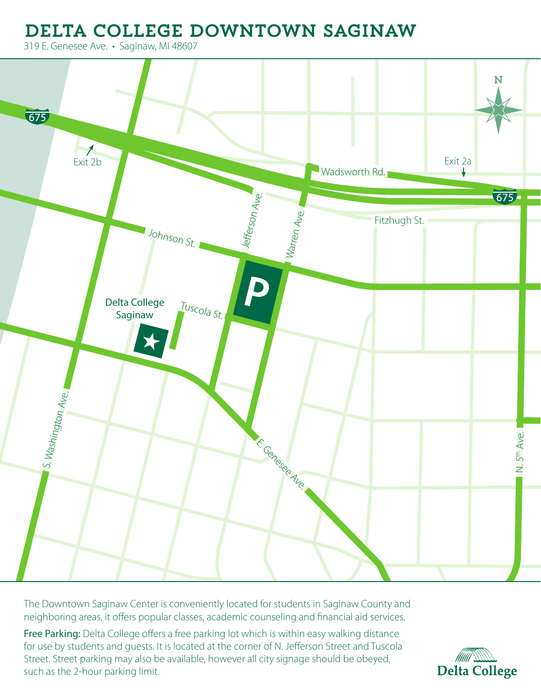## Delta College Downtown Saginaw

319 E. Genesee Ave. • Saginaw, MI 48607



The Downtown Saginaw Center is conveniently located for students in Saginaw County and neighboring areas, it offers popular classes, academic counseling and financial aid services.

Free Parking: Delta College offers a free parking lot which is within easy walking distance for use by students and guests. It is located at the corner of N. Jefferson Street and Tuscola Street. Street parking may also be available, however all city signage should be obeyed, such as the 2-hour parking limit.